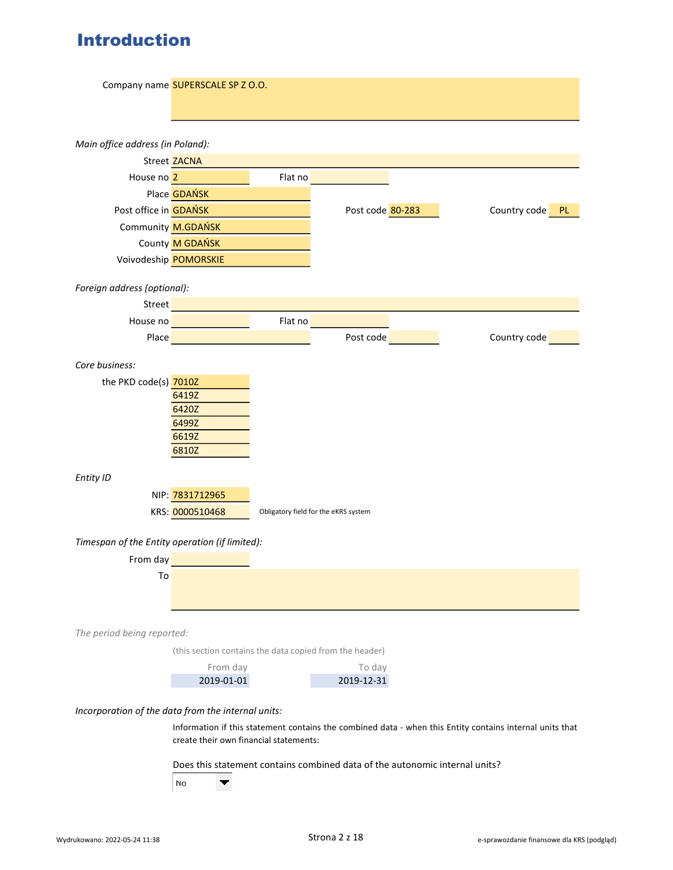# Introduction

| Main office address (in Poland):<br>Street ZACNA                                                         |  |  |  |  |
|----------------------------------------------------------------------------------------------------------|--|--|--|--|
|                                                                                                          |  |  |  |  |
|                                                                                                          |  |  |  |  |
|                                                                                                          |  |  |  |  |
| Flat no<br>House no 2                                                                                    |  |  |  |  |
| Place <b>GDAŃSK</b>                                                                                      |  |  |  |  |
| Post office in <b>GDAŃSK</b><br>Post code 80-283<br>Country code<br>PL.                                  |  |  |  |  |
| Community M.GDAŃSK                                                                                       |  |  |  |  |
| County M GDAŃSK                                                                                          |  |  |  |  |
| Voivodeship POMORSKIE                                                                                    |  |  |  |  |
|                                                                                                          |  |  |  |  |
| Foreign address (optional):                                                                              |  |  |  |  |
| Street                                                                                                   |  |  |  |  |
| Flat no<br>House no                                                                                      |  |  |  |  |
| Post code<br>Country code<br>Place                                                                       |  |  |  |  |
| Core business:                                                                                           |  |  |  |  |
| the PKD code(s) 7010Z                                                                                    |  |  |  |  |
| 6419Z                                                                                                    |  |  |  |  |
| 6420Z                                                                                                    |  |  |  |  |
| 6499Z                                                                                                    |  |  |  |  |
| 6619Z                                                                                                    |  |  |  |  |
| 6810Z                                                                                                    |  |  |  |  |
| Entity ID                                                                                                |  |  |  |  |
| NIP: 7831712965                                                                                          |  |  |  |  |
| KRS: 0000510468<br>Obligatory field for the eKRS system                                                  |  |  |  |  |
|                                                                                                          |  |  |  |  |
| Timespan of the Entity operation (if limited):                                                           |  |  |  |  |
| From day                                                                                                 |  |  |  |  |
| To                                                                                                       |  |  |  |  |
|                                                                                                          |  |  |  |  |
|                                                                                                          |  |  |  |  |
| The period being reported:                                                                               |  |  |  |  |
| (this section contains the data copied from the header)                                                  |  |  |  |  |
| From day<br>To day                                                                                       |  |  |  |  |
| 2019-01-01<br>2019-12-31                                                                                 |  |  |  |  |
| Incorporation of the data from the internal units:                                                       |  |  |  |  |
| Information if this statement contains the combined data - when this Entity contains internal units that |  |  |  |  |
| create their own financial statements:                                                                   |  |  |  |  |
| Does this statement contains combined data of the autonomic internal units?                              |  |  |  |  |
| No<br>▼                                                                                                  |  |  |  |  |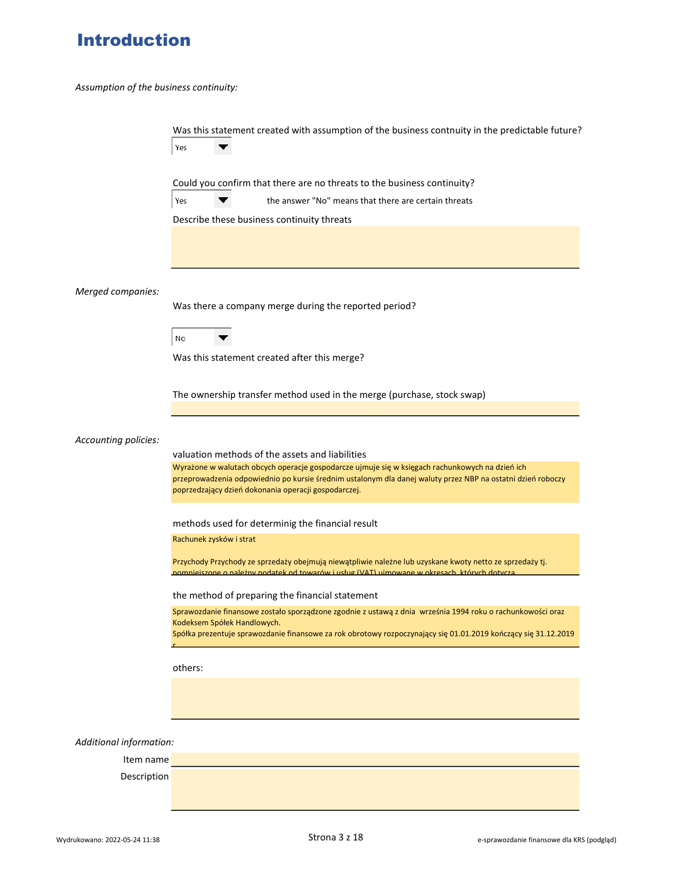# Introduction

Assumption of the business continuity:

|                         | Was this statement created with assumption of the business contnuity in the predictable future?<br>Yes                                                                                                                                                                                                                    |
|-------------------------|---------------------------------------------------------------------------------------------------------------------------------------------------------------------------------------------------------------------------------------------------------------------------------------------------------------------------|
|                         | Could you confirm that there are no threats to the business continuity?                                                                                                                                                                                                                                                   |
|                         | Yes<br>the answer "No" means that there are certain threats                                                                                                                                                                                                                                                               |
|                         | Describe these business continuity threats                                                                                                                                                                                                                                                                                |
|                         |                                                                                                                                                                                                                                                                                                                           |
| Merged companies:       |                                                                                                                                                                                                                                                                                                                           |
|                         | Was there a company merge during the reported period?                                                                                                                                                                                                                                                                     |
|                         | No                                                                                                                                                                                                                                                                                                                        |
|                         | Was this statement created after this merge?                                                                                                                                                                                                                                                                              |
|                         | The ownership transfer method used in the merge (purchase, stock swap)                                                                                                                                                                                                                                                    |
| Accounting policies:    | valuation methods of the assets and liabilities<br>Wyrażone w walutach obcych operacje gospodarcze ujmuje się w księgach rachunkowych na dzień ich<br>przeprowadzenia odpowiednio po kursie średnim ustalonym dla danej waluty przez NBP na ostatni dzień roboczy<br>poprzedzający dzień dokonania operacji gospodarczej. |
|                         | methods used for determinig the financial result                                                                                                                                                                                                                                                                          |
|                         | Rachunek zysków i strat                                                                                                                                                                                                                                                                                                   |
|                         | Przychody Przychody ze sprzedaży obejmują niewątpliwie należne lub uzyskane kwoty netto ze sprzedaży tj.<br>pomniejszone o należny podatek od towarów i usług (VAT) ujmowane w okresach, których dotycza                                                                                                                  |
|                         | the method of preparing the financial statement                                                                                                                                                                                                                                                                           |
|                         | Sprawozdanie finansowe zostało sporządzone zgodnie z ustawą z dnia września 1994 roku o rachunkowości oraz<br>Kodeksem Spółek Handlowych.<br>Spółka prezentuje sprawozdanie finansowe za rok obrotowy rozpoczynający się 01.01.2019 kończący się 31.12.2019                                                               |
|                         | others:                                                                                                                                                                                                                                                                                                                   |
|                         |                                                                                                                                                                                                                                                                                                                           |
|                         |                                                                                                                                                                                                                                                                                                                           |
| Additional information: |                                                                                                                                                                                                                                                                                                                           |
| Item name               |                                                                                                                                                                                                                                                                                                                           |
| Description             |                                                                                                                                                                                                                                                                                                                           |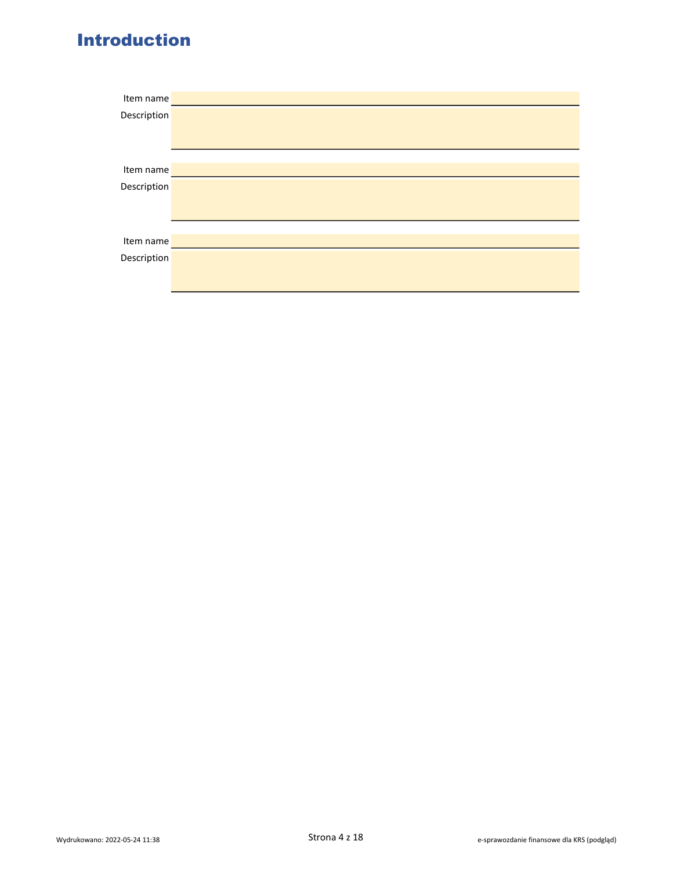# Introduction

| Item name   |  |
|-------------|--|
| Description |  |
|             |  |
|             |  |
|             |  |
| Item name   |  |
| Description |  |
|             |  |
|             |  |
|             |  |
| Item name   |  |
| Description |  |
|             |  |
|             |  |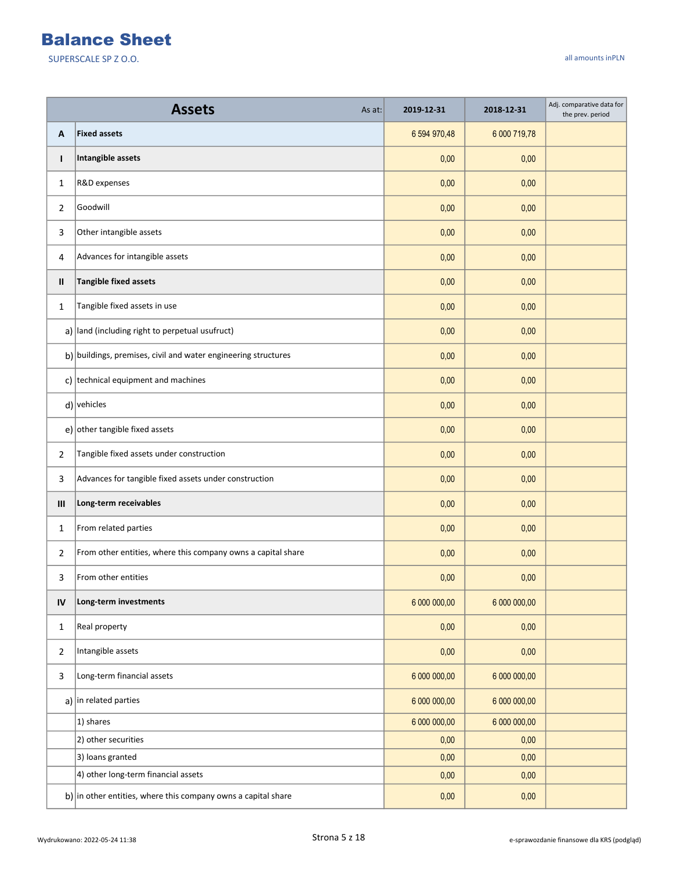|                | <b>Assets</b><br>As at:                                                    | 2019-12-31   | 2018-12-31   | Adj. comparative data for<br>the prev. period |
|----------------|----------------------------------------------------------------------------|--------------|--------------|-----------------------------------------------|
| Α              | <b>Fixed assets</b>                                                        | 6 594 970,48 | 6 000 719,78 |                                               |
| T              | Intangible assets                                                          | 0,00         | 0,00         |                                               |
| $\mathbf{1}$   | R&D expenses                                                               | 0,00         | 0,00         |                                               |
| 2              | Goodwill                                                                   | 0,00         | 0,00         |                                               |
| 3              | Other intangible assets                                                    | 0,00         | 0,00         |                                               |
| 4              | Advances for intangible assets                                             | 0,00         | 0,00         |                                               |
| Ш              | <b>Tangible fixed assets</b>                                               | 0,00         | 0,00         |                                               |
| $\mathbf{1}$   | Tangible fixed assets in use                                               | 0,00         | 0,00         |                                               |
|                | $a)$ land (including right to perpetual usufruct)                          | 0,00         | 0,00         |                                               |
|                | $\mathbf{b}$ ) buildings, premises, civil and water engineering structures | 0,00         | 0,00         |                                               |
|                | c) technical equipment and machines                                        | 0,00         | 0,00         |                                               |
|                | $d$ ) vehicles                                                             | 0,00         | 0,00         |                                               |
|                | e) other tangible fixed assets                                             | 0,00         | 0,00         |                                               |
| $\overline{2}$ | Tangible fixed assets under construction                                   | 0,00         | 0,00         |                                               |
| 3              | Advances for tangible fixed assets under construction                      | 0,00         | 0,00         |                                               |
| III            | Long-term receivables                                                      | 0,00         | 0,00         |                                               |
| $\mathbf{1}$   | From related parties                                                       | 0,00         | 0,00         |                                               |
| 2              | From other entities, where this company owns a capital share               | 0,00         | 0,00         |                                               |
| 3              | From other entities                                                        | 0,00         | 0,00         |                                               |
| IV             | Long-term investments                                                      | 6 000 000,00 | 6 000 000,00 |                                               |
| $\mathbf{1}$   | Real property                                                              | 0,00         | 0,00         |                                               |
| $\overline{2}$ | Intangible assets                                                          | 0,00         | 0,00         |                                               |
| 3              | Long-term financial assets                                                 | 6 000 000,00 | 6 000 000,00 |                                               |
|                | a) in related parties                                                      | 6 000 000,00 | 6 000 000,00 |                                               |
|                | 1) shares                                                                  | 6 000 000,00 | 6 000 000,00 |                                               |
|                | 2) other securities                                                        | 0,00         | 0,00         |                                               |
|                | 3) loans granted                                                           | 0,00         | 0,00         |                                               |
|                | 4) other long-term financial assets                                        | 0,00         | 0,00         |                                               |
|                | b) in other entities, where this company owns a capital share              | 0,00         | 0,00         |                                               |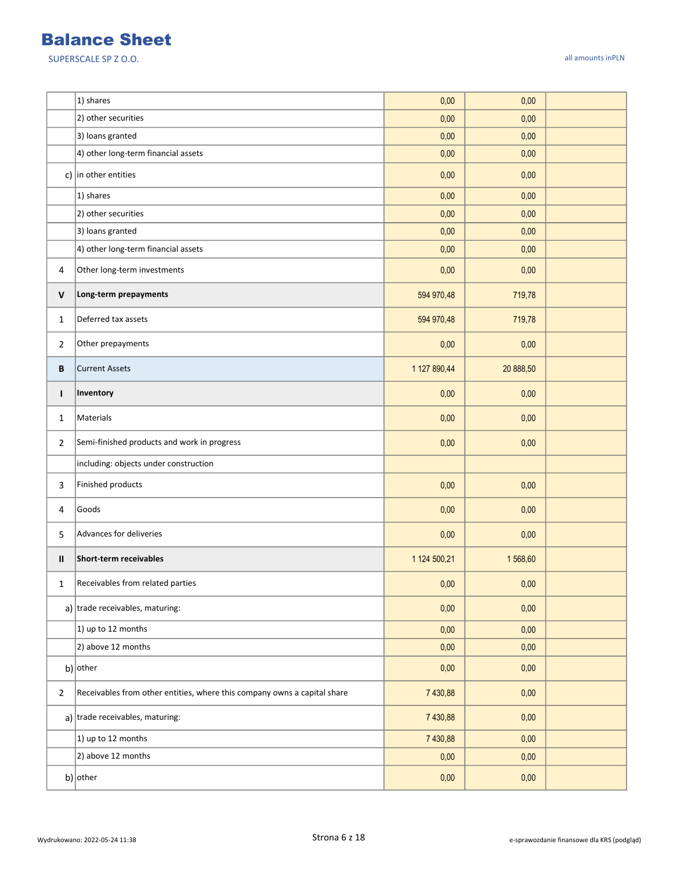|                | 1) shares                                                                | 0,00         | 0,00      |  |
|----------------|--------------------------------------------------------------------------|--------------|-----------|--|
|                | 2) other securities                                                      | 0,00         | 0,00      |  |
|                | 3) loans granted                                                         | 0,00         | 0,00      |  |
|                | 4) other long-term financial assets                                      | 0,00         | 0,00      |  |
|                | c) in other entities                                                     | 0,00         | 0,00      |  |
|                | 1) shares                                                                | 0,00         | 0,00      |  |
|                | 2) other securities                                                      | 0,00         | 0,00      |  |
|                | 3) loans granted                                                         | 0,00         | 0,00      |  |
|                | 4) other long-term financial assets                                      | 0,00         | 0,00      |  |
| 4              | Other long-term investments                                              | 0,00         | 0,00      |  |
| $\mathsf{V}$   | Long-term prepayments                                                    | 594 970,48   | 719,78    |  |
| $\mathbf{1}$   | Deferred tax assets                                                      | 594 970,48   | 719,78    |  |
| 2              | Other prepayments                                                        | 0,00         | 0,00      |  |
| В              | <b>Current Assets</b>                                                    | 1 127 890,44 | 20 888,50 |  |
| $\mathbf{I}$   | Inventory                                                                | 0,00         | 0,00      |  |
| 1              | Materials                                                                | 0,00         | 0,00      |  |
| $\overline{2}$ | Semi-finished products and work in progress                              | 0,00         | 0,00      |  |
|                | including: objects under construction                                    |              |           |  |
| 3              | Finished products                                                        | 0,00         | 0,00      |  |
| 4              | Goods                                                                    | 0,00         | 0,00      |  |
| 5              | Advances for deliveries                                                  | 0,00         | 0,00      |  |
| Ш              | Short-term receivables                                                   | 1 124 500,21 | 1568,60   |  |
| 1              | Receivables from related parties                                         | 0,00         | 0,00      |  |
|                | a) trade receivables, maturing:                                          | 0,00         | 0,00      |  |
|                | 1) up to 12 months                                                       | 0,00         | 0,00      |  |
|                | 2) above 12 months                                                       | 0,00         | 0,00      |  |
|                | $b)$ other                                                               | 0,00         | 0,00      |  |
| $\overline{2}$ | Receivables from other entities, where this company owns a capital share | 7 430,88     | 0,00      |  |
|                | a) trade receivables, maturing:                                          | 7 430,88     | 0,00      |  |
|                | 1) up to 12 months                                                       | 7 430,88     | 0,00      |  |
|                | 2) above 12 months                                                       | 0,00         | 0,00      |  |
|                | b) other                                                                 | 0,00         | 0,00      |  |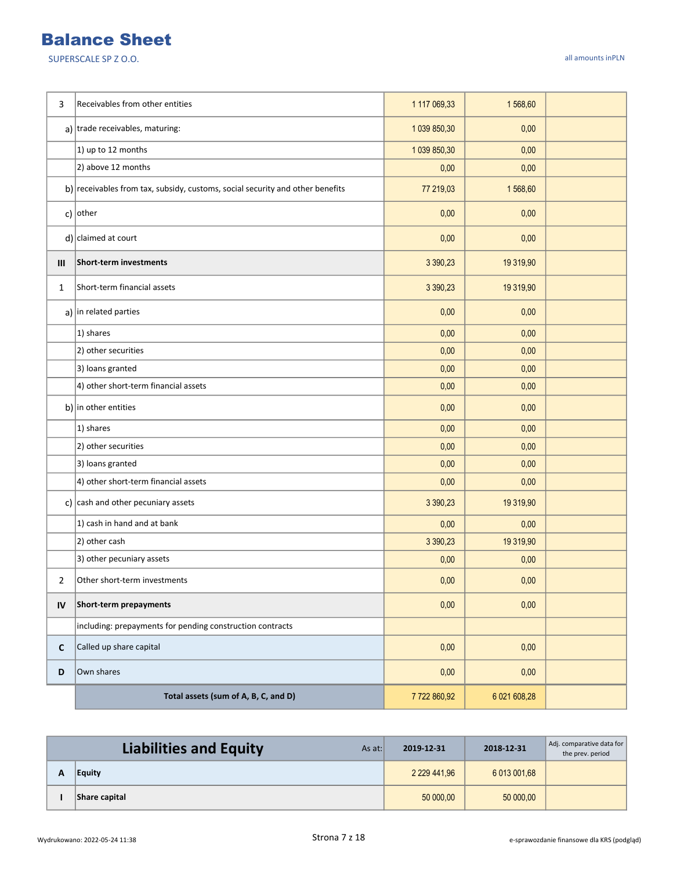| 3              | Receivables from other entities                                               | 1 117 069,33 | 1568,60      |  |
|----------------|-------------------------------------------------------------------------------|--------------|--------------|--|
|                | a) trade receivables, maturing:                                               | 1 039 850,30 | 0,00         |  |
|                | 1) up to 12 months                                                            | 1 039 850,30 | 0,00         |  |
|                | 2) above 12 months                                                            | 0,00         | 0,00         |  |
|                | b) receivables from tax, subsidy, customs, social security and other benefits | 77 219,03    | 1568,60      |  |
|                | c) $ other$                                                                   | 0,00         | 0,00         |  |
|                | $d$ ) claimed at court                                                        | 0,00         | 0,00         |  |
| Ш              | Short-term investments                                                        | 3 3 9 0, 2 3 | 19 319,90    |  |
| 1              | Short-term financial assets                                                   | 3 390,23     | 19 319,90    |  |
|                | a) in related parties                                                         | 0,00         | 0,00         |  |
|                | 1) shares                                                                     | 0,00         | 0,00         |  |
|                | 2) other securities                                                           | 0,00         | 0,00         |  |
|                | 3) loans granted                                                              | 0,00         | 0,00         |  |
|                | 4) other short-term financial assets                                          | 0,00         | 0,00         |  |
|                | b) in other entities                                                          | 0,00         | 0,00         |  |
|                | 1) shares                                                                     | 0,00         | 0,00         |  |
|                | 2) other securities                                                           | 0,00         | 0,00         |  |
|                | 3) loans granted                                                              | 0,00         | 0,00         |  |
|                | 4) other short-term financial assets                                          | 0,00         | 0,00         |  |
|                | c) $\vert$ cash and other pecuniary assets                                    | 3 390,23     | 19 319,90    |  |
|                | 1) cash in hand and at bank                                                   | 0,00         | 0,00         |  |
|                | 2) other cash                                                                 | 3 390,23     | 19 319,90    |  |
|                | 3) other pecuniary assets                                                     | 0,00         | 0,00         |  |
| $\overline{2}$ | Other short-term investments                                                  | 0,00         | 0,00         |  |
| IV             | Short-term prepayments                                                        | 0,00         | 0,00         |  |
|                | including: prepayments for pending construction contracts                     |              |              |  |
| $\mathsf{C}$   | Called up share capital                                                       | 0,00         | 0,00         |  |
| D              | Own shares                                                                    | 0,00         | 0,00         |  |
|                | Total assets (sum of A, B, C, and D)                                          | 7722860,92   | 6 021 608,28 |  |

| <b>Liabilities and Equity</b><br>As at: | 2019-12-31        | 2018-12-31   | Adj. comparative data for<br>the prev. period |
|-----------------------------------------|-------------------|--------------|-----------------------------------------------|
| <b>Equity</b>                           | 2 2 2 9 4 4 1 9 6 | 6 013 001.68 |                                               |
| Share capital                           | 50 000.00         | 50 000,00    |                                               |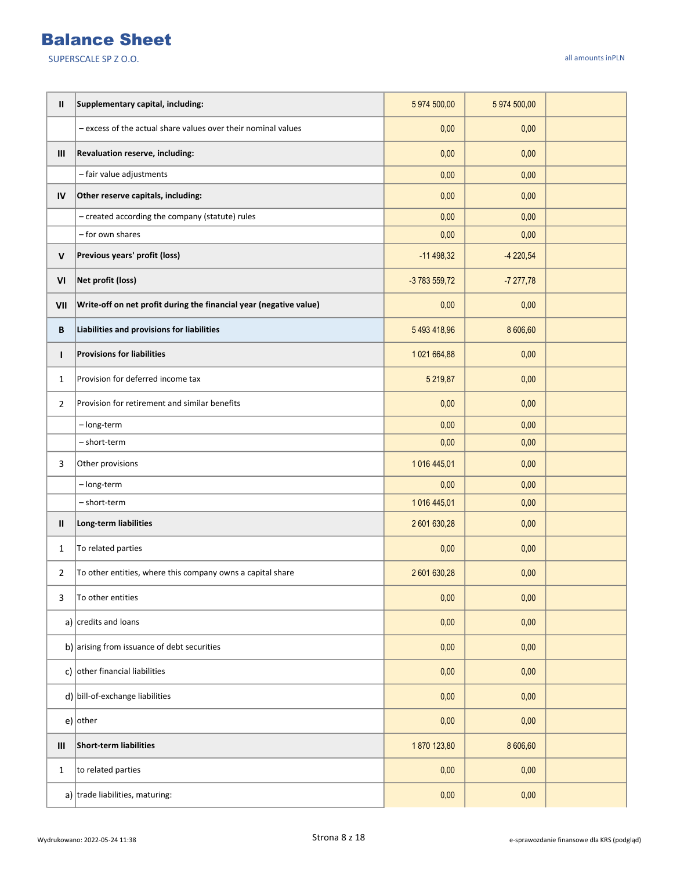| Ш            | Supplementary capital, including:                                  | 5 974 500,00  | 5 974 500,00 |  |
|--------------|--------------------------------------------------------------------|---------------|--------------|--|
|              | - excess of the actual share values over their nominal values      | 0,00          | 0,00         |  |
| III          | Revaluation reserve, including:                                    | 0,00          | 0,00         |  |
|              | - fair value adjustments                                           | 0,00          | 0,00         |  |
| IV           | Other reserve capitals, including:                                 | 0,00          | 0,00         |  |
|              | - created according the company (statute) rules                    | 0,00          | 0,00         |  |
|              | - for own shares                                                   | 0,00          | 0,00         |  |
| $\mathsf{V}$ | Previous years' profit (loss)                                      | $-11498,32$   | $-4220,54$   |  |
| VI           | Net profit (loss)                                                  | -3 783 559,72 | $-7277,78$   |  |
| VII          | Write-off on net profit during the financial year (negative value) | 0,00          | 0,00         |  |
| B            | Liabilities and provisions for liabilities                         | 5493418,96    | 8 606,60     |  |
| I.           | <b>Provisions for liabilities</b>                                  | 1 021 664,88  | 0,00         |  |
| $\mathbf{1}$ | Provision for deferred income tax                                  | 5 219,87      | 0,00         |  |
| 2            | Provision for retirement and similar benefits                      | 0,00          | 0,00         |  |
|              | - long-term                                                        | 0,00          | 0,00         |  |
|              | - short-term                                                       | 0,00          | 0,00         |  |
| 3            | Other provisions                                                   | 1016 445,01   | 0,00         |  |
|              | - long-term                                                        | 0,00          | 0,00         |  |
|              | - short-term                                                       | 1016 445,01   | 0,00         |  |
| Ш            | Long-term liabilities                                              | 2 601 630,28  | 0,00         |  |
| 1            | To related parties                                                 | 0,00          | 0,00         |  |
| 2            | To other entities, where this company owns a capital share         | 2 601 630,28  | 0,00         |  |
| 3            | To other entities                                                  | 0,00          | 0,00         |  |
|              | a) $ {\rm credits}$ and loans                                      | 0,00          | 0,00         |  |
|              | b) $ $ arising from issuance of debt securities                    | 0,00          | 0,00         |  |
|              | c) $ $ other financial liabilities                                 | 0,00          | 0,00         |  |
|              | $d$ ) bill-of-exchange liabilities                                 | 0,00          | 0,00         |  |
|              | $e)$ other                                                         | 0,00          | 0,00         |  |
| Ш            | Short-term liabilities                                             | 1870 123,80   | 8 606,60     |  |
| 1            | to related parties                                                 | 0,00          | 0,00         |  |
|              | a) trade liabilities, maturing:                                    | 0,00          | 0,00         |  |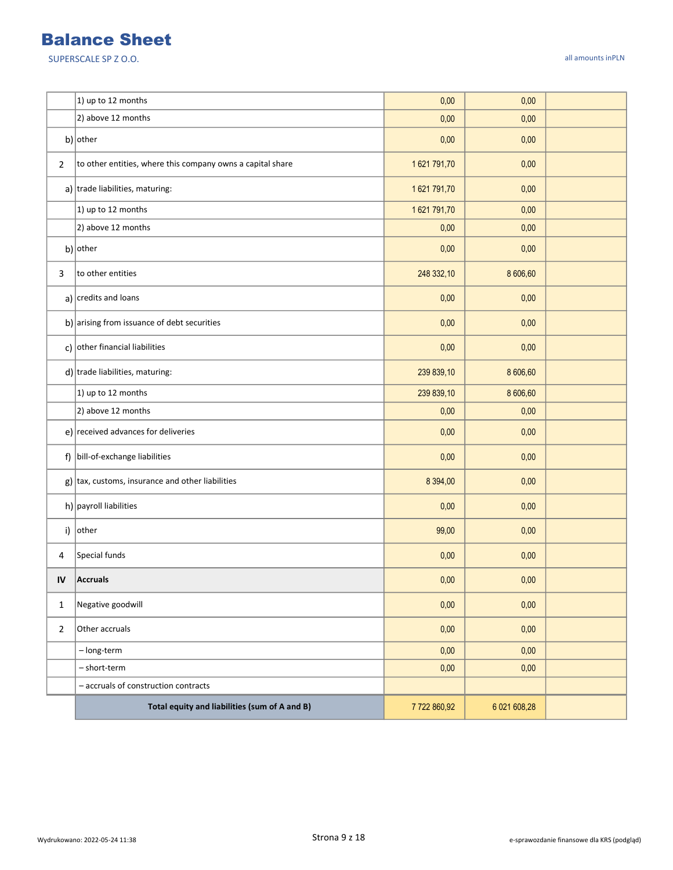|                | 1) up to 12 months                                         | 0,00        | 0,00         |  |
|----------------|------------------------------------------------------------|-------------|--------------|--|
|                | 2) above 12 months                                         | 0,00        | 0,00         |  |
|                | b) other                                                   | 0,00        | 0,00         |  |
| $\overline{2}$ | to other entities, where this company owns a capital share | 1621791,70  | 0,00         |  |
|                | a) trade liabilities, maturing:                            | 1621 791,70 | 0,00         |  |
|                | 1) up to 12 months                                         | 1621791,70  | 0,00         |  |
|                | 2) above 12 months                                         | 0,00        | 0,00         |  |
|                | b) other                                                   | 0,00        | 0,00         |  |
| 3              | to other entities                                          | 248 332,10  | 8 606,60     |  |
|                | a) $ {\text{credits}}$ and loans                           | 0,00        | 0,00         |  |
|                | b) arising from issuance of debt securities                | 0,00        | 0,00         |  |
|                | c) other financial liabilities                             | 0,00        | 0,00         |  |
|                | $d$ ) trade liabilities, maturing:                         | 239 839,10  | 8 606,60     |  |
|                | 1) up to 12 months                                         | 239 839,10  | 8 606,60     |  |
|                | 2) above 12 months                                         | 0,00        | 0,00         |  |
|                | e) received advances for deliveries                        | 0,00        | 0,00         |  |
|                | f) bill-of-exchange liabilities                            | 0,00        | 0,00         |  |
|                | $g$ ) tax, customs, insurance and other liabilities        | 8 3 9 4 ,00 | 0,00         |  |
|                | h) payroll liabilities                                     | 0,00        | 0,00         |  |
|                | i) other                                                   | 99,00       | 0,00         |  |
| 4              | Special funds                                              | 0,00        | 0,00         |  |
| IV             | <b>Accruals</b>                                            | 0,00        | 0,00         |  |
| $\mathbf{1}$   | Negative goodwill                                          | 0,00        | 0,00         |  |
| $\mathbf 2$    | Other accruals                                             | 0,00        | 0,00         |  |
|                | - long-term                                                | 0,00        | 0,00         |  |
|                | - short-term                                               | 0,00        | 0,00         |  |
|                | - accruals of construction contracts                       |             |              |  |
|                | Total equity and liabilities (sum of A and B)              | 7722860,92  | 6 021 608,28 |  |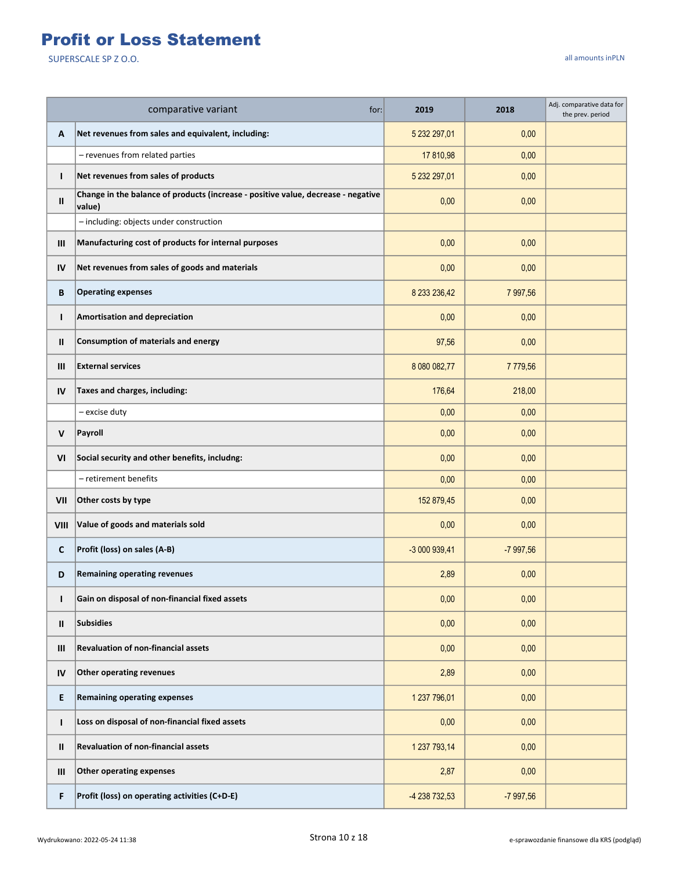## Profit or Loss Statement

|                | comparative variant<br>for:                                                                 | 2019          | 2018       | Adj. comparative data for<br>the prev. period |
|----------------|---------------------------------------------------------------------------------------------|---------------|------------|-----------------------------------------------|
| А              | Net revenues from sales and equivalent, including:                                          | 5 232 297,01  | 0,00       |                                               |
|                | - revenues from related parties                                                             | 17 810,98     | 0,00       |                                               |
| T              | Net revenues from sales of products                                                         | 5 232 297,01  | 0,00       |                                               |
| $\mathbf{II}$  | Change in the balance of products (increase - positive value, decrease - negative<br>value) | 0,00          | 0,00       |                                               |
|                | - including: objects under construction                                                     |               |            |                                               |
| Ш              | Manufacturing cost of products for internal purposes                                        | 0,00          | 0,00       |                                               |
| IV             | Net revenues from sales of goods and materials                                              | 0,00          | 0,00       |                                               |
| B              | <b>Operating expenses</b>                                                                   | 8 233 236,42  | 7 997,56   |                                               |
| $\mathbf{I}$   | <b>Amortisation and depreciation</b>                                                        | 0,00          | 0,00       |                                               |
| Ш              | Consumption of materials and energy                                                         | 97,56         | 0,00       |                                               |
| $\mathbf{III}$ | <b>External services</b>                                                                    | 8 080 082,77  | 7779,56    |                                               |
| IV             | Taxes and charges, including:                                                               | 176,64        | 218,00     |                                               |
|                | - excise duty                                                                               | 0,00          | 0.00       |                                               |
| V              | Payroll                                                                                     | 0,00          | 0,00       |                                               |
| VI             | Social security and other benefits, includng:                                               | 0,00          | 0,00       |                                               |
|                | - retirement benefits                                                                       | 0,00          | 0,00       |                                               |
| VII            | Other costs by type                                                                         | 152 879,45    | 0,00       |                                               |
| VIII           | Value of goods and materials sold                                                           | 0,00          | 0,00       |                                               |
| C              | Profit (loss) on sales (A-B)                                                                | -3 000 939,41 | $-7997,56$ |                                               |
| D              | <b>Remaining operating revenues</b>                                                         | 2,89          | 0,00       |                                               |
| L              | Gain on disposal of non-financial fixed assets                                              | 0,00          | 0,00       |                                               |
| Ш              | <b>Subsidies</b>                                                                            | 0,00          | 0,00       |                                               |
| Ш              | <b>Revaluation of non-financial assets</b>                                                  | 0,00          | 0,00       |                                               |
| IV             | Other operating revenues                                                                    | 2,89          | 0,00       |                                               |
| E              | <b>Remaining operating expenses</b>                                                         | 1 237 796,01  | 0,00       |                                               |
| L              | Loss on disposal of non-financial fixed assets                                              | 0,00          | 0,00       |                                               |
| Ш              | <b>Revaluation of non-financial assets</b>                                                  | 1 237 793,14  | 0,00       |                                               |
| Ш              | <b>Other operating expenses</b>                                                             | 2,87          | 0,00       |                                               |
| F              | Profit (loss) on operating activities (C+D-E)                                               | -4 238 732,53 | $-7997,56$ |                                               |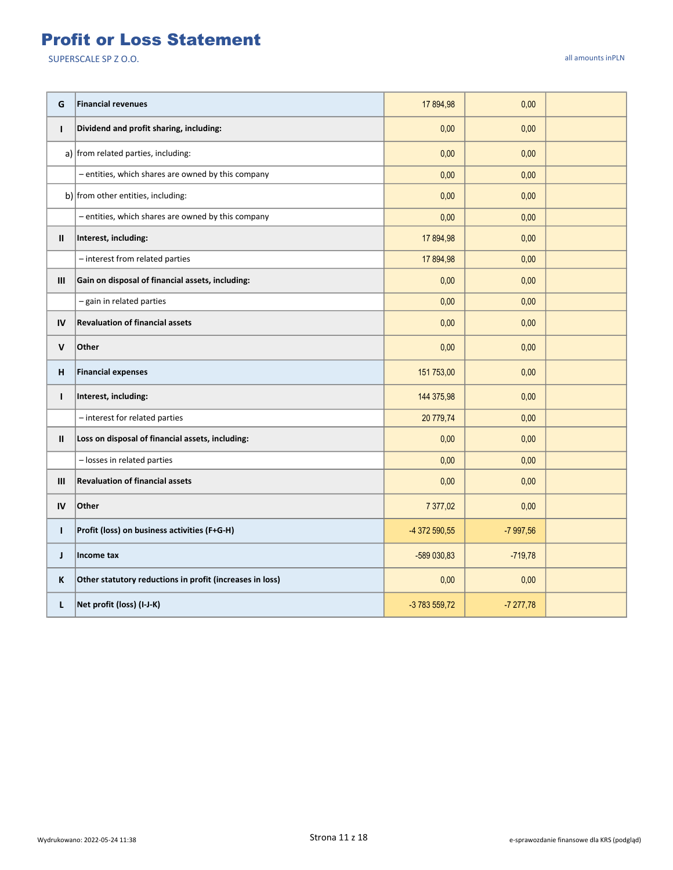#### Profit or Loss Statement

| G             | <b>Financial revenues</b>                                | 17 894,98     | 0,00       |  |
|---------------|----------------------------------------------------------|---------------|------------|--|
| $\mathbf{I}$  | Dividend and profit sharing, including:                  | 0,00          | 0,00       |  |
|               | a) from related parties, including:                      | 0,00          | 0,00       |  |
|               | - entities, which shares are owned by this company       | 0,00          | 0,00       |  |
|               | b) from other entities, including:                       | 0,00          | 0,00       |  |
|               | - entities, which shares are owned by this company       | 0,00          | 0,00       |  |
| $\mathbf{II}$ | Interest, including:                                     | 17 894,98     | 0,00       |  |
|               | - interest from related parties                          | 17 894,98     | 0,00       |  |
| III           | Gain on disposal of financial assets, including:         | 0,00          | 0,00       |  |
|               | - gain in related parties                                | 0,00          | 0,00       |  |
| IV            | <b>Revaluation of financial assets</b>                   | 0,00          | 0,00       |  |
| V             | Other                                                    | 0,00          | 0,00       |  |
| н             | <b>Financial expenses</b>                                | 151 753,00    | 0,00       |  |
| $\mathbf{I}$  | Interest, including:                                     | 144 375,98    | 0,00       |  |
|               | - interest for related parties                           | 20 779,74     | 0,00       |  |
| $\mathbf{II}$ | Loss on disposal of financial assets, including:         | 0,00          | 0,00       |  |
|               | - losses in related parties                              | 0,00          | 0,00       |  |
| III           | <b>Revaluation of financial assets</b>                   | 0,00          | 0,00       |  |
| IV            | Other                                                    | 7 377,02      | 0,00       |  |
| T             | Profit (loss) on business activities (F+G-H)             | -4 372 590,55 | $-7997,56$ |  |
| J             | Income tax                                               | -589 030,83   | $-719,78$  |  |
| K             | Other statutory reductions in profit (increases in loss) | 0,00          | 0,00       |  |
| L             | Net profit (loss) (I-J-K)                                | -3 783 559,72 | $-7277,78$ |  |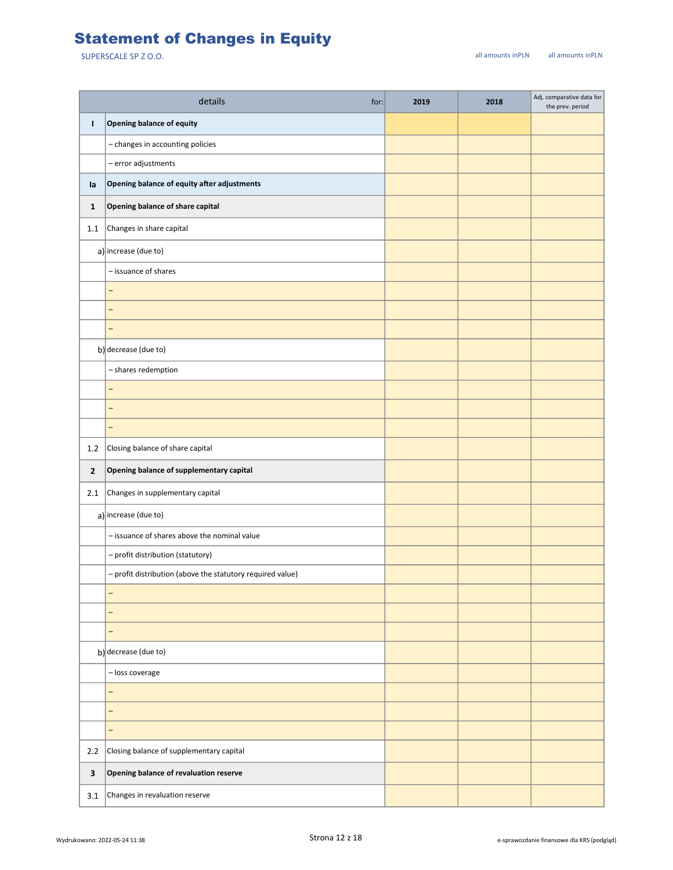## Statement of Changes in Equity

|                | details<br>for:                                            | 2019 | 2018 | Adj. comparative data for<br>the prev. period |
|----------------|------------------------------------------------------------|------|------|-----------------------------------------------|
| т              | <b>Opening balance of equity</b>                           |      |      |                                               |
|                | - changes in accounting policies                           |      |      |                                               |
|                | $-$ error adjustments                                      |      |      |                                               |
| la             | Opening balance of equity after adjustments                |      |      |                                               |
| $\mathbf{1}$   | Opening balance of share capital                           |      |      |                                               |
| 1.1            | Changes in share capital                                   |      |      |                                               |
|                | a) increase (due to)                                       |      |      |                                               |
|                | - issuance of shares                                       |      |      |                                               |
|                | $\overline{\phantom{0}}$                                   |      |      |                                               |
|                | $\overline{\phantom{0}}$                                   |      |      |                                               |
|                | $\overline{\phantom{0}}$                                   |      |      |                                               |
|                | b) decrease (due to)                                       |      |      |                                               |
|                | - shares redemption                                        |      |      |                                               |
|                | -                                                          |      |      |                                               |
|                | $\overline{\phantom{0}}$                                   |      |      |                                               |
|                | $\overline{\phantom{0}}$                                   |      |      |                                               |
| 1.2            | Closing balance of share capital                           |      |      |                                               |
| $\overline{2}$ | Opening balance of supplementary capital                   |      |      |                                               |
| 2.1            | Changes in supplementary capital                           |      |      |                                               |
|                | $a$ ) increase (due to)                                    |      |      |                                               |
|                | - issuance of shares above the nominal value               |      |      |                                               |
|                | - profit distribution (statutory)                          |      |      |                                               |
|                | - profit distribution (above the statutory required value) |      |      |                                               |
|                | -                                                          |      |      |                                               |
|                | $\qquad \qquad -$                                          |      |      |                                               |
|                | $\overline{\phantom{0}}$                                   |      |      |                                               |
|                | b) decrease (due to)                                       |      |      |                                               |
|                | - loss coverage                                            |      |      |                                               |
|                | $\overline{\phantom{0}}$                                   |      |      |                                               |
|                | -                                                          |      |      |                                               |
|                | -                                                          |      |      |                                               |
| 2.2            | Closing balance of supplementary capital                   |      |      |                                               |
| $\mathbf{3}$   | Opening balance of revaluation reserve                     |      |      |                                               |
| 3.1            | Changes in revaluation reserve                             |      |      |                                               |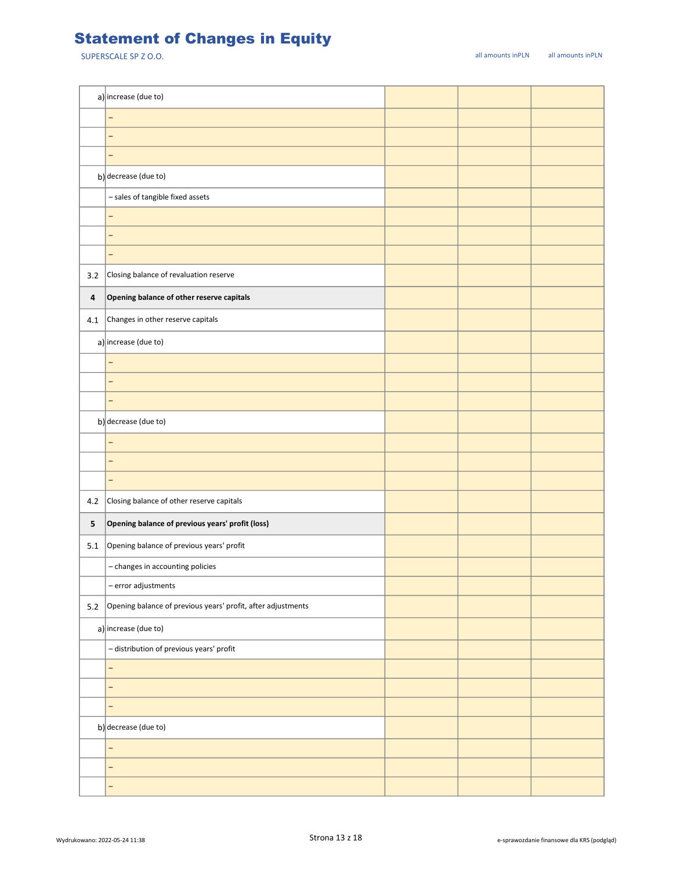## Statement of Changes in Equity

|         | a) increase (due to)                                         |  |  |
|---------|--------------------------------------------------------------|--|--|
|         | -                                                            |  |  |
|         | -                                                            |  |  |
|         | -                                                            |  |  |
|         | b) decrease (due to)                                         |  |  |
|         | - sales of tangible fixed assets                             |  |  |
|         | -                                                            |  |  |
|         | -                                                            |  |  |
|         | -                                                            |  |  |
| 3.2     | Closing balance of revaluation reserve                       |  |  |
| 4       | Opening balance of other reserve capitals                    |  |  |
| 4.1     | Changes in other reserve capitals                            |  |  |
|         | a) increase (due to)                                         |  |  |
|         | $\overline{\phantom{0}}$                                     |  |  |
|         | -                                                            |  |  |
|         | -                                                            |  |  |
|         | b) decrease (due to)                                         |  |  |
|         | -                                                            |  |  |
|         | -                                                            |  |  |
|         | -                                                            |  |  |
| 4.2     | Closing balance of other reserve capitals                    |  |  |
| 5       | Opening balance of previous years' profit (loss)             |  |  |
| 5.1     | Opening balance of previous years' profit                    |  |  |
|         | - changes in accounting policies                             |  |  |
|         | - error adjustments                                          |  |  |
| $5.2\,$ | Opening balance of previous years' profit, after adjustments |  |  |
|         | a) increase (due to)                                         |  |  |
|         | - distribution of previous years' profit                     |  |  |
|         | -                                                            |  |  |
|         | -                                                            |  |  |
|         | -                                                            |  |  |
|         | b) decrease (due to)                                         |  |  |
|         | -                                                            |  |  |
|         | —                                                            |  |  |
|         | -                                                            |  |  |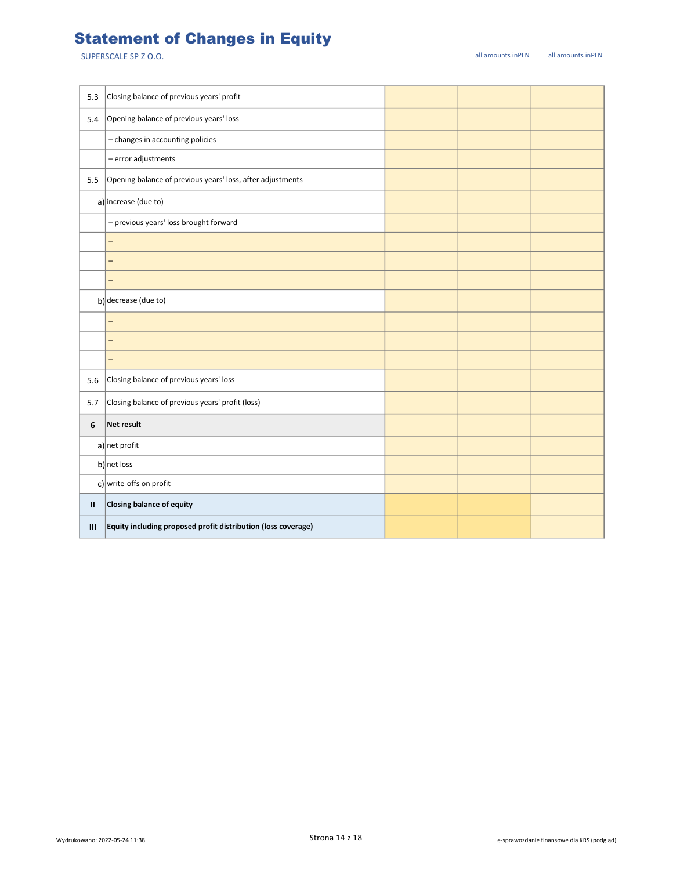## Statement of Changes in Equity

| 5.3          | Closing balance of previous years' profit                     |  |  |
|--------------|---------------------------------------------------------------|--|--|
| 5.4          | Opening balance of previous years' loss                       |  |  |
|              | - changes in accounting policies                              |  |  |
|              | - error adjustments                                           |  |  |
| 5.5          | Opening balance of previous years' loss, after adjustments    |  |  |
|              | a) increase (due to)                                          |  |  |
|              | - previous years' loss brought forward                        |  |  |
|              | -                                                             |  |  |
|              | $\overline{\phantom{0}}$                                      |  |  |
|              | -                                                             |  |  |
|              | b) decrease (due to)                                          |  |  |
|              | $\equiv$                                                      |  |  |
|              | -                                                             |  |  |
|              | -                                                             |  |  |
| 5.6          | Closing balance of previous years' loss                       |  |  |
| 5.7          | Closing balance of previous years' profit (loss)              |  |  |
| 6            | Net result                                                    |  |  |
|              | $a$ ] net profit                                              |  |  |
|              | b) net loss                                                   |  |  |
|              | c) write-offs on profit                                       |  |  |
| $\mathbf{I}$ | Closing balance of equity                                     |  |  |
| Ш            | Equity including proposed profit distribution (loss coverage) |  |  |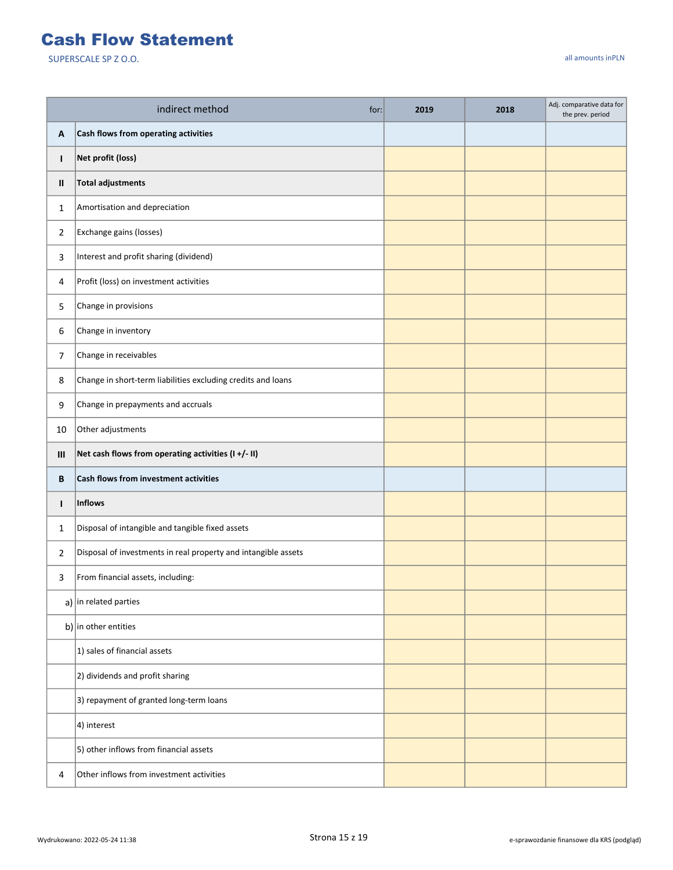#### Cash Flow Statement

|                | indirect method<br>for:                                        | 2019 | 2018 | Adj. comparative data for<br>the prev. period |
|----------------|----------------------------------------------------------------|------|------|-----------------------------------------------|
| Α              | Cash flows from operating activities                           |      |      |                                               |
| T              | Net profit (loss)                                              |      |      |                                               |
| Ш              | <b>Total adjustments</b>                                       |      |      |                                               |
| 1              | Amortisation and depreciation                                  |      |      |                                               |
| $\overline{2}$ | Exchange gains (losses)                                        |      |      |                                               |
| 3              | Interest and profit sharing (dividend)                         |      |      |                                               |
| 4              | Profit (loss) on investment activities                         |      |      |                                               |
| 5              | Change in provisions                                           |      |      |                                               |
| 6              | Change in inventory                                            |      |      |                                               |
| 7              | Change in receivables                                          |      |      |                                               |
| 8              | Change in short-term liabilities excluding credits and loans   |      |      |                                               |
| 9              | Change in prepayments and accruals                             |      |      |                                               |
| 10             | Other adjustments                                              |      |      |                                               |
| Ш              | Net cash flows from operating activities (I+/- II)             |      |      |                                               |
| B              | Cash flows from investment activities                          |      |      |                                               |
| $\mathbf{I}$   | <b>Inflows</b>                                                 |      |      |                                               |
| 1              | Disposal of intangible and tangible fixed assets               |      |      |                                               |
| $\overline{2}$ | Disposal of investments in real property and intangible assets |      |      |                                               |
| 3              | From financial assets, including:                              |      |      |                                               |
|                | a) in related parties                                          |      |      |                                               |
|                | b) in other entities                                           |      |      |                                               |
|                | 1) sales of financial assets                                   |      |      |                                               |
|                | 2) dividends and profit sharing                                |      |      |                                               |
|                | 3) repayment of granted long-term loans                        |      |      |                                               |
|                | 4) interest                                                    |      |      |                                               |
|                | 5) other inflows from financial assets                         |      |      |                                               |
| 4              | Other inflows from investment activities                       |      |      |                                               |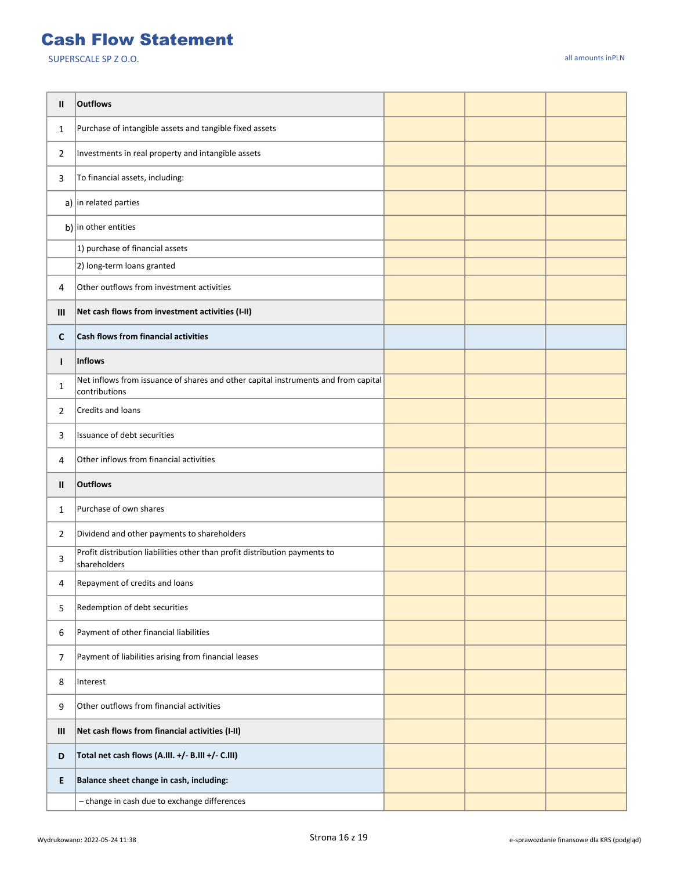#### Cash Flow Statement

| Ш            | <b>Outflows</b>                                                                                     |  |  |
|--------------|-----------------------------------------------------------------------------------------------------|--|--|
| $\mathbf{1}$ | Purchase of intangible assets and tangible fixed assets                                             |  |  |
| 2            | Investments in real property and intangible assets                                                  |  |  |
| 3            | To financial assets, including:                                                                     |  |  |
|              | a) in related parties                                                                               |  |  |
|              | b) in other entities                                                                                |  |  |
|              | 1) purchase of financial assets                                                                     |  |  |
|              | 2) long-term loans granted                                                                          |  |  |
| 4            | Other outflows from investment activities                                                           |  |  |
| Ш            | Net cash flows from investment activities (I-II)                                                    |  |  |
| C            | Cash flows from financial activities                                                                |  |  |
| L            | Inflows                                                                                             |  |  |
| 1            | Net inflows from issuance of shares and other capital instruments and from capital<br>contributions |  |  |
| 2            | Credits and loans                                                                                   |  |  |
| 3            | Issuance of debt securities                                                                         |  |  |
| 4            | Other inflows from financial activities                                                             |  |  |
| Ш            | <b>Outflows</b>                                                                                     |  |  |
| $\mathbf{1}$ | Purchase of own shares                                                                              |  |  |
| 2            | Dividend and other payments to shareholders                                                         |  |  |
| 3            | Profit distribution liabilities other than profit distribution payments to<br>shareholders          |  |  |
| 4            | Repayment of credits and loans                                                                      |  |  |
| 5            | Redemption of debt securities                                                                       |  |  |
| 6            | Payment of other financial liabilities                                                              |  |  |
| 7            | Payment of liabilities arising from financial leases                                                |  |  |
| 8            | Interest                                                                                            |  |  |
| 9            | Other outflows from financial activities                                                            |  |  |
| Ш            | Net cash flows from financial activities (I-II)                                                     |  |  |
| D            | Total net cash flows (A.III. +/- B.III +/- C.III)                                                   |  |  |
| E.           | Balance sheet change in cash, including:                                                            |  |  |
|              | - change in cash due to exchange differences                                                        |  |  |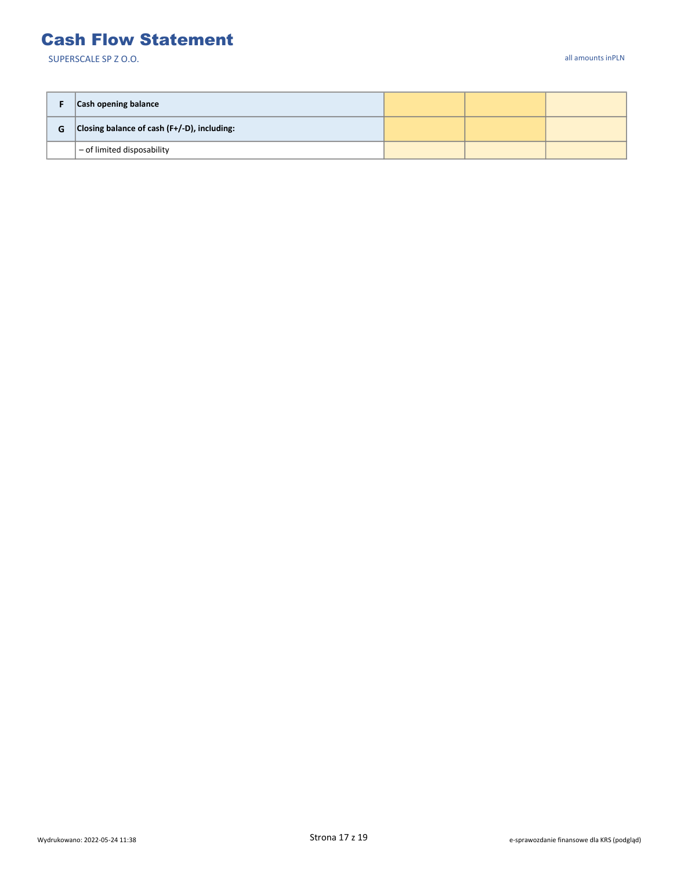#### Cash Flow Statement

|   | Cash opening balance                           |  |  |
|---|------------------------------------------------|--|--|
| G | Closing balance of cash $(F+/-D)$ , including: |  |  |
|   | $-$ of limited disposability                   |  |  |